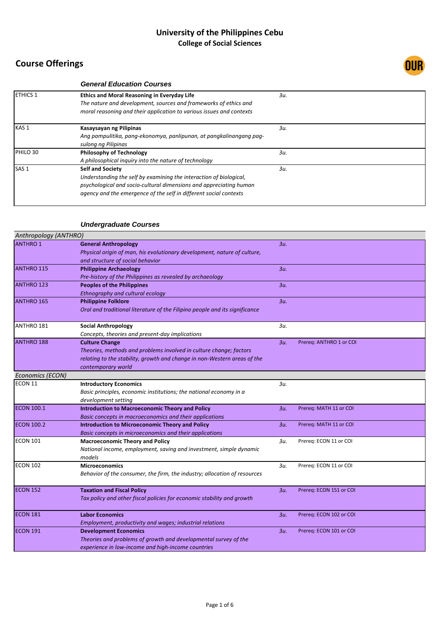

|                  | <b>General Education Courses</b>                                     |     |  |
|------------------|----------------------------------------------------------------------|-----|--|
| <b>ETHICS 1</b>  | <b>Ethics and Moral Reasoning in Everyday Life</b>                   | 3u. |  |
|                  | The nature and development, sources and frameworks of ethics and     |     |  |
|                  | moral reasoning and their application to various issues and contexts |     |  |
| KAS <sub>1</sub> | Kasaysayan ng Pilipinas                                              | 3u. |  |
|                  | Ang pampulitika, pang-ekonomya, panlipunan, at pangkalinangang pag-  |     |  |
|                  | sulong ng Pilipinas                                                  |     |  |
| PHILO 30         | <b>Philosophy of Technology</b>                                      | 3u. |  |
|                  | A philosophical inquiry into the nature of technology                |     |  |
| SAS <sub>1</sub> | <b>Self and Society</b>                                              | 3u. |  |
|                  | Understanding the self by examining the interaction of biological,   |     |  |
|                  | psychological and socio-cultural dimensions and appreciating human   |     |  |
|                  | agency and the emergence of the self in different social contexts    |     |  |
|                  |                                                                      |     |  |

## *Undergraduate Courses*

| Anthropology (ANTHRO) |                                                                             |        |                         |
|-----------------------|-----------------------------------------------------------------------------|--------|-------------------------|
| <b>ANTHRO 1</b>       | <b>General Anthropology</b>                                                 | 3u.    |                         |
|                       | Physical origin of man, his evolutionary development, nature of culture,    |        |                         |
|                       | and structure of social behavior                                            |        |                         |
| <b>ANTHRO 115</b>     | <b>Philippine Archaeology</b>                                               | 3u.    |                         |
|                       | Pre-history of the Philippines as revealed by archaeology                   |        |                         |
| <b>ANTHRO 123</b>     | <b>Peoples of the Philippines</b>                                           | $3u$ . |                         |
|                       | Ethnography and cultural ecology                                            |        |                         |
| ANTHRO 165            | <b>Philippine Folklore</b>                                                  | 3u.    |                         |
|                       | Oral and traditional literature of the Filipino people and its significance |        |                         |
| ANTHRO 181            | <b>Social Anthropology</b>                                                  | 3u.    |                         |
|                       | Concepts, theories and present-day implications                             |        |                         |
| <b>ANTHRO 188</b>     | <b>Culture Change</b>                                                       | 3u.    | Prereq: ANTHRO 1 or COI |
|                       | Theories, methods and problems involved in culture change; factors          |        |                         |
|                       | relating to the stability, growth and change in non-Western areas of the    |        |                         |
|                       | contemporary world                                                          |        |                         |
| Economics (ECON)      |                                                                             |        |                         |
| ECON 11               | <b>Introductory Economics</b>                                               | 3и.    |                         |
|                       | Basic principles, economic institutions; the national economy in a          |        |                         |
|                       | development setting                                                         |        |                         |
| <b>ECON 100.1</b>     | <b>Introduction to Macroeconomic Theory and Policy</b>                      | $3u$ . | Prereq: MATH 11 or COI  |
|                       | Basic concepts in macroeconomics and their applications                     |        |                         |
| <b>ECON 100.2</b>     | <b>Introduction to Microeconomic Theory and Policy</b>                      | 3u.    | Prereq: MATH 11 or COI  |
|                       | Basic concepts in microeconomics and their applications                     |        |                         |
| <b>ECON 101</b>       | <b>Macroeconomic Theory and Policy</b>                                      | 3u.    | Prereq: ECON 11 or COI  |
|                       | National income, employment, saving and investment, simple dynamic          |        |                         |
|                       | models                                                                      |        |                         |
| <b>ECON 102</b>       | <b>Microeconomics</b>                                                       | 3u.    | Prereq: ECON 11 or COI  |
|                       | Behavior of the consumer, the firm, the industry; allocation of resources   |        |                         |
| ECON 152              | <b>Taxation and Fiscal Policy</b>                                           | $3u$ . | Prereq: ECON 151 or COI |
|                       | Tax policy and other fiscal policies for economic stability and growth      |        |                         |
| <b>ECON 181</b>       | <b>Labor Economics</b>                                                      | 3u.    | Prereq: ECON 102 or COI |
|                       | Employment, productivity and wages; industrial relations                    |        |                         |
| <b>ECON 191</b>       | <b>Development Economics</b>                                                | 3u.    | Prereq: ECON 101 or COI |
|                       | Theories and problems of growth and developmental survey of the             |        |                         |
|                       | experience in low-income and high-income countries                          |        |                         |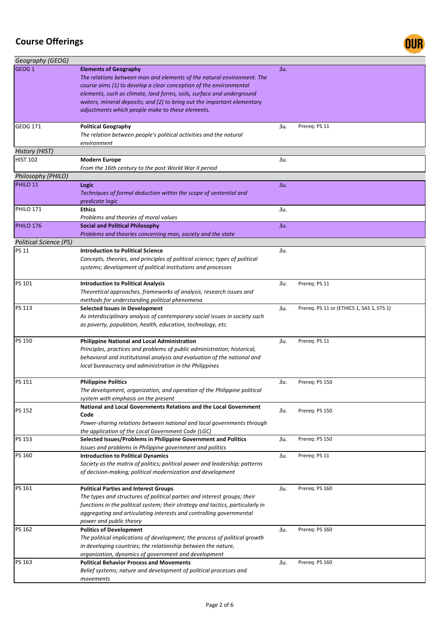

| Geography (GEOG)       |                                                                                                                                                                                                                                                                                                                                                                                      |     |                                           |
|------------------------|--------------------------------------------------------------------------------------------------------------------------------------------------------------------------------------------------------------------------------------------------------------------------------------------------------------------------------------------------------------------------------------|-----|-------------------------------------------|
| GEOG <sub>1</sub>      | <b>Elements of Geography</b><br>The relations between man and elements of the natural environment. The<br>course aims (1) to develop a clear conception of the environmental<br>elements, such as climate, land forms, soils, surface and underground<br>waters, mineral deposits; and (2) to bring out the important elementary<br>adjustments which people make to these elements. | 3и. |                                           |
| GEOG 171               | <b>Political Geography</b><br>The relation between people's political activities and the natural<br>environment                                                                                                                                                                                                                                                                      | Зи. | Prereq: PS 11                             |
| History (HIST)         |                                                                                                                                                                                                                                                                                                                                                                                      |     |                                           |
| <b>HIST 102</b>        | <b>Modern Europe</b><br>From the 16th century to the post World War II period                                                                                                                                                                                                                                                                                                        | Зи. |                                           |
| Philosophy (PHILO)     |                                                                                                                                                                                                                                                                                                                                                                                      |     |                                           |
| PHILO 11               | Logic<br>Techniques of formal deduction within the scope of sentential and<br>predicate logic                                                                                                                                                                                                                                                                                        | 3и. |                                           |
| <b>PHILO 171</b>       | <b>Ethics</b><br>Problems and theories of moral values                                                                                                                                                                                                                                                                                                                               | 3и. |                                           |
| PHILO 176              | <b>Social and Political Philosophy</b><br>Problems and theories concerning man, society and the state                                                                                                                                                                                                                                                                                | 3и. |                                           |
| Political Science (PS) |                                                                                                                                                                                                                                                                                                                                                                                      |     |                                           |
| <b>PS 11</b>           | <b>Introduction to Political Science</b><br>Concepts, theories, and principles of political science; types of political<br>systems; development of political institutions and processes                                                                                                                                                                                              | Зи. |                                           |
| PS 101                 | <b>Introduction to Political Analysis</b><br>Theoretical approaches, frameworks of analysis, research issues and<br>methods for understanding political phenomena                                                                                                                                                                                                                    | Зи. | Prereq: PS 11                             |
| PS 113                 | <b>Selected Issues in Development</b><br>As interdisciplinary analysis of contemporary social issues in society such<br>as poverty, population, health, education, technology, etc.                                                                                                                                                                                                  | 3u. | Prereq: PS 11 or (ETHICS 1, SAS 1, STS 1) |
| PS 150                 | <b>Philippine National and Local Administration</b><br>Principles, practices and problems of public administration; historical,<br>behavioral and institutional analysis and evaluation of the national and<br>local bureaucracy and administration in the Philippines                                                                                                               | Зи. | Prereq: PS 11                             |
| PS 151                 | <b>Philippine Politics</b><br>The development, organization, and operation of the Philippine political<br>system with emphasis on the present                                                                                                                                                                                                                                        | Зи. | Prereq: PS 150                            |
| PS 152                 | National and Local Governments Relations and the Local Government<br>Code<br>Power-sharing relations between national and local governments through<br>the application of the Local Government Code (LGC)                                                                                                                                                                            | Зи. | Prereq: PS 150                            |
| PS 153                 | Selected Issues/Problems in Philippine Government and Politics<br>Issues and problems in Philippine government and politics                                                                                                                                                                                                                                                          | Зи. | Prereq: PS 150                            |
| PS 160                 | <b>Introduction to Political Dynamics</b><br>Society as the matrix of politics; political power and leadership; patterns<br>of decision-making; political modernization and development                                                                                                                                                                                              | 3и. | Prereq: PS 11                             |
| PS 161                 | <b>Political Parties and Interest Groups</b><br>The types and structures of political parties and interest groups; their<br>functions in the political system; their strategy and tactics, particularly in<br>aggregating and articulating interests and controlling governmental<br>power and public theory                                                                         | зи. | Prereg: PS 160                            |
| PS 162                 | <b>Politics of Development</b><br>The political implications of development; the process of political growth<br>in developing countries; the relationship between the nature,<br>organization, dynamics of government and development                                                                                                                                                | Зи. | Prereq: PS 160                            |
| PS 163                 | <b>Political Behavior Process and Movements</b><br>Belief systems; nature and development of political processes and<br>movements                                                                                                                                                                                                                                                    | Зи. | Prereq: PS 160                            |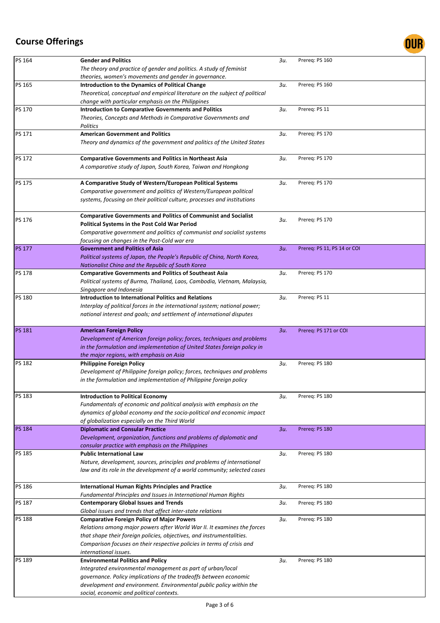

| PS 164        | <b>Gender and Politics</b>                                                   | 3u.    | Prereq: PS 160              |
|---------------|------------------------------------------------------------------------------|--------|-----------------------------|
|               | The theory and practice of gender and politics. A study of feminist          |        |                             |
|               | theories, women's movements and gender in governance.                        |        |                             |
| PS 165        | Introduction to the Dynamics of Political Change                             | 3u.    | Prereq: PS 160              |
|               | Theoretical, conceptual and empirical literature on the subject of political |        |                             |
|               | change with particular emphasis on the Philippines                           |        |                             |
| PS 170        | <b>Introduction to Comparative Governments and Politics</b>                  | 3u.    | Prereq: PS 11               |
|               | Theories, Concepts and Methods in Comparative Governments and                |        |                             |
| PS 171        | Politics<br><b>American Government and Politics</b>                          | 3u.    | Prereg: PS 170              |
|               | Theory and dynamics of the government and politics of the United States      |        |                             |
|               |                                                                              |        |                             |
| PS 172        | <b>Comparative Governments and Politics in Northeast Asia</b>                | 3u.    | Prereq: PS 170              |
|               | A comparative study of Japan, South Korea, Taiwan and Hongkong               |        |                             |
|               |                                                                              |        |                             |
| PS 175        | A Comparative Study of Western/European Political Systems                    | 3и.    | Prereq: PS 170              |
|               | Comparative government and politics of Western/European political            |        |                             |
|               | systems, focusing on their political culture, processes and institutions     |        |                             |
|               |                                                                              |        |                             |
| PS 176        | <b>Comparative Governments and Politics of Communist and Socialist</b>       | 3u.    | Prereq: PS 170              |
|               | Political Systems in the Post Cold War Period                                |        |                             |
|               | Comparative government and politics of communist and socialist systems       |        |                             |
|               | focusing on changes in the Post-Cold war era                                 |        |                             |
| <b>PS 177</b> | <b>Government and Politics of Asia</b>                                       | $3u$ . | Prereq: PS 11, PS 14 or COI |
|               | Political systems of Japan, the People's Republic of China, North Korea,     |        |                             |
|               | Nationalist China and the Republic of South Korea                            |        |                             |
| PS 178        | <b>Comparative Governments and Politics of Southeast Asia</b>                | 3u.    | Prereq: PS 170              |
|               | Political systems of Burma, Thailand, Laos, Cambodia, Vietnam, Malaysia,     |        |                             |
|               | Singapore and Indonesia                                                      |        |                             |
| <b>PS 180</b> | <b>Introduction to International Politics and Relations</b>                  | 3u.    | Prereq: PS 11               |
|               | Interplay of political forces in the international system; national power;   |        |                             |
|               | national interest and goals; and settlement of international disputes        |        |                             |
| <b>PS 181</b> | <b>American Foreign Policy</b>                                               | $3u$ . | Prereq: PS 171 or COI       |
|               | Development of American foreign policy; forces, techniques and problems      |        |                             |
|               | in the formulation and implementation of United States foreign policy in     |        |                             |
|               | the major regions, with emphasis on Asia                                     |        |                             |
| PS 182        | <b>Philippine Foreign Policy</b>                                             | 3u.    | Prereq: PS 180              |
|               | Development of Philippine foreign policy; forces, techniques and problems    |        |                             |
|               | in the formulation and implementation of Philippine foreign policy           |        |                             |
|               |                                                                              |        |                             |
| PS 183        | <b>Introduction to Political Economy</b>                                     | зи.    | Prereq: PS 180              |
|               | Fundamentals of economic and political analysis with emphasis on the         |        |                             |
|               | dynamics of global economy and the socio-political and economic impact       |        |                             |
|               | of globalization especially on the Third World                               |        |                             |
| <b>PS 184</b> | <b>Diplomatic and Consular Practice</b>                                      | $3u$ . | Prereq: PS 180              |
|               | Development, organization, functions and problems of diplomatic and          |        |                             |
|               | consular practice with emphasis on the Philippines                           |        |                             |
| PS 185        | <b>Public International Law</b>                                              | 3u.    | Prereq: PS 180              |
|               | Nature, development, sources, principles and problems of international       |        |                             |
|               | law and its role in the development of a world community; selected cases     |        |                             |
| <b>PS 186</b> | <b>International Human Rights Principles and Practice</b>                    | 3u.    | Prereq: PS 180              |
|               | Fundamental Principles and Issues in International Human Rights              |        |                             |
| PS 187        | <b>Contemporary Global Issues and Trends</b>                                 | Зи.    | Prereq: PS 180              |
|               | Global issues and trends that affect inter-state relations                   |        |                             |
| PS 188        | <b>Comparative Foreign Policy of Major Powers</b>                            | 3и.    | Prereq: PS 180              |
|               | Relations among major powers after World War II. It examines the forces      |        |                             |
|               | that shape their foreign policies, objectives, and instrumentalities.        |        |                             |
|               | Comparison focuses on their respective policies in terms of crisis and       |        |                             |
|               | international issues.                                                        |        |                             |
| PS 189        | <b>Environmental Politics and Policy</b>                                     | 3u.    | Prereq: PS 180              |
|               | Integrated environmental management as part of urban/local                   |        |                             |
|               | governance. Policy implications of the tradeoffs between economic            |        |                             |
|               |                                                                              |        |                             |
|               | development and environment. Environmental public policy within the          |        |                             |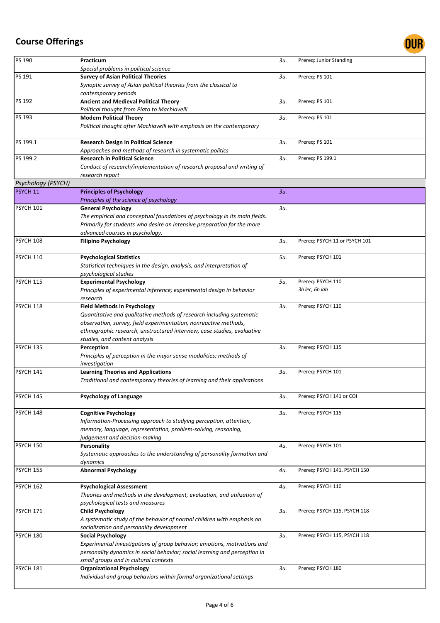

| PS 190             | Practicum                                                                                                                           | Зи. | Prereq: Junior Standing       |
|--------------------|-------------------------------------------------------------------------------------------------------------------------------------|-----|-------------------------------|
|                    | Special problems in political science                                                                                               |     |                               |
| PS 191             | <b>Survey of Asian Political Theories</b>                                                                                           | Зи. | Prereq: PS 101                |
|                    | Synoptic survey of Asian political theories from the classical to                                                                   |     |                               |
|                    | contemporary periods                                                                                                                |     |                               |
| PS 192             | Ancient and Medieval Political Theory                                                                                               | 3u. | Prereg: PS 101                |
|                    | Political thought from Plato to Machiavelli                                                                                         |     |                               |
| PS 193             | <b>Modern Political Theory</b>                                                                                                      | Зи. | Prereq: PS 101                |
|                    | Political thought after Machiavelli with emphasis on the contemporary                                                               |     |                               |
|                    |                                                                                                                                     |     |                               |
| PS 199.1           | <b>Research Design in Political Science</b>                                                                                         | зи. | Prereq: PS 101                |
|                    | Approaches and methods of research in systematic politics                                                                           |     |                               |
| PS 199.2           | <b>Research in Political Science</b>                                                                                                | Зи. | Prereq: PS 199.1              |
|                    | Conduct of research/implementation of research proposal and writing of                                                              |     |                               |
|                    | research report                                                                                                                     |     |                               |
| Psychology (PSYCH) |                                                                                                                                     |     |                               |
| PSYCH 11           | <b>Principles of Psychology</b>                                                                                                     | 3u. |                               |
|                    | Principles of the science of psychology                                                                                             |     |                               |
| <b>PSYCH 101</b>   | <b>General Psychology</b>                                                                                                           | Зи. |                               |
|                    | The empirical and conceptual foundations of psychology in its main fields.                                                          |     |                               |
|                    | Primarily for students who desire an intensive preparation for the more                                                             |     |                               |
|                    | advanced courses in psychology.                                                                                                     |     |                               |
| PSYCH 108          | <b>Filipino Psychology</b>                                                                                                          | Зи. | Prereq: PSYCH 11 or PSYCH 101 |
| PSYCH 110          | <b>Psychological Statistics</b>                                                                                                     | 5и. | Prereq: PSYCH 101             |
|                    | Statistical techniques in the design, analysis, and interpretation of                                                               |     |                               |
|                    | psychological studies                                                                                                               |     |                               |
| <b>PSYCH 115</b>   | <b>Experimental Psychology</b>                                                                                                      | 5и. | Prereq: PSYCH 110             |
|                    | Principles of experimental inference; experimental design in behavior                                                               |     | 3h lec, 6h lab                |
|                    | research                                                                                                                            |     |                               |
| PSYCH 118          | <b>Field Methods in Psychology</b>                                                                                                  | Зи. | Prereq: PSYCH 110             |
|                    | Quantitative and qualitative methods of research including systematic                                                               |     |                               |
|                    | observation, survey, field experimentation, nonreactive methods,                                                                    |     |                               |
|                    | ethnographic research, unstructured interview, case studies, evaluative                                                             |     |                               |
|                    | studies, and content analysis                                                                                                       |     |                               |
| <b>PSYCH 135</b>   | Perception                                                                                                                          | Зи. | Prereq: PSYCH 115             |
|                    | Principles of perception in the major sense modalities; methods of                                                                  |     |                               |
|                    | investigation                                                                                                                       |     |                               |
| PSYCH 141          | <b>Learning Theories and Applications</b>                                                                                           | Зи. | Prereq: PSYCH 101             |
|                    | Traditional and contemporary theories of learning and their applications                                                            |     |                               |
|                    |                                                                                                                                     |     |                               |
| PSYCH 145          | <b>Psychology of Language</b>                                                                                                       | Зи. | Prereq: PSYCH 141 or COI      |
| PSYCH 148          | <b>Cognitive Psychology</b>                                                                                                         |     | Prereq: PSYCH 115             |
|                    |                                                                                                                                     | Зи. |                               |
|                    | Information-Processing approach to studying perception, attention,<br>memory, language, representation, problem-solving, reasoning, |     |                               |
|                    | judgement and decision-making                                                                                                       |     |                               |
| PSYCH 150          |                                                                                                                                     | 4u. | Prereq: PSYCH 101             |
|                    | Personality<br>Systematic approaches to the understanding of personality formation and                                              |     |                               |
|                    | dynamics                                                                                                                            |     |                               |
| <b>PSYCH 155</b>   | <b>Abnormal Psychology</b>                                                                                                          | 4u. | Prereg: PSYCH 141, PSYCH 150  |
|                    |                                                                                                                                     |     |                               |
| PSYCH 162          | <b>Psychological Assessment</b>                                                                                                     | 4u. | Prereq: PSYCH 110             |
|                    | Theories and methods in the development, evaluation, and utilization of                                                             |     |                               |
|                    | psychological tests and measures                                                                                                    |     |                               |
| <b>PSYCH 171</b>   | <b>Child Psychology</b>                                                                                                             | Зи. | Prereq: PSYCH 115, PSYCH 118  |
|                    | A systematic study of the behavior of normal children with emphasis on                                                              |     |                               |
|                    | socialization and personality development                                                                                           |     |                               |
| PSYCH 180          | <b>Social Psychology</b>                                                                                                            | Зи. | Prereq: PSYCH 115, PSYCH 118  |
|                    | Experimental investigations of group behavior; emotions, motivations and                                                            |     |                               |
|                    | personality dynamics in social behavior; social learning and perception in                                                          |     |                               |
|                    | small groups and in cultural contexts                                                                                               |     |                               |
| PSYCH 181          | <b>Organizational Psychology</b>                                                                                                    | Зи. | Prereq: PSYCH 180             |
|                    | Individual and group behaviors within formal organizational settings                                                                |     |                               |
|                    |                                                                                                                                     |     |                               |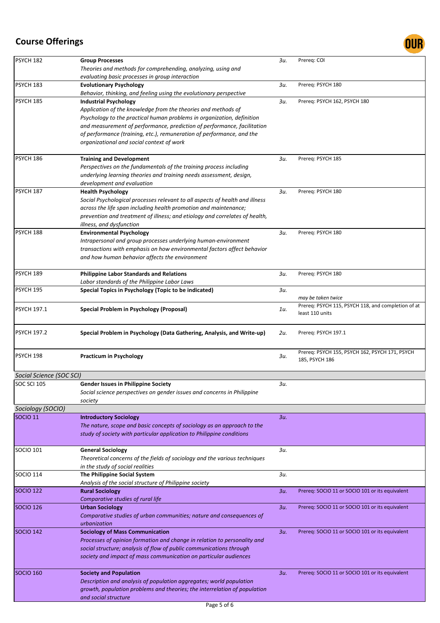

| PSYCH 182                | <b>Group Processes</b>                                                                                                                                                                                                                                                                  | 3u. | Prereq: COI                                                           |
|--------------------------|-----------------------------------------------------------------------------------------------------------------------------------------------------------------------------------------------------------------------------------------------------------------------------------------|-----|-----------------------------------------------------------------------|
|                          | Theories and methods for comprehending, analyzing, using and<br>evaluating basic processes in group interaction                                                                                                                                                                         |     |                                                                       |
| PSYCH 183                | <b>Evolutionary Psychology</b><br>Behavior, thinking, and feeling using the evolutionary perspective                                                                                                                                                                                    | 3и. | Prereq: PSYCH 180                                                     |
| PSYCH 185                | <b>Industrial Psychology</b><br>Application of the knowledge from the theories and methods of<br>Psychology to the practical human problems in organization, definition                                                                                                                 | Зи. | Prereq: PSYCH 162, PSYCH 180                                          |
|                          | and measurement of performance, prediction of performance, facilitation<br>of performance (training, etc.), remuneration of performance, and the<br>organizational and social context of work                                                                                           |     |                                                                       |
| PSYCH 186                | <b>Training and Development</b><br>Perspectives on the fundamentals of the training process including                                                                                                                                                                                   | Зи. | Prereq: PSYCH 185                                                     |
|                          | underlying learning theories and training needs assessment, design,<br>development and evaluation                                                                                                                                                                                       |     |                                                                       |
| PSYCH 187                | <b>Health Psychology</b><br>Social Psychological processes relevant to all aspects of health and illness<br>across the life span including health promotion and maintenance;<br>prevention and treatment of illness; and etiology and correlates of health,<br>illness, and dysfunction | Зи. | Prereq: PSYCH 180                                                     |
| PSYCH 188                | <b>Environmental Psychology</b><br>Intrapersonal and group processes underlying human-environment<br>transactions with emphasis on how environmental factors affect behavior<br>and how human behavior affects the environment                                                          | Зи. | Prereq: PSYCH 180                                                     |
| PSYCH 189                | <b>Philippine Labor Standards and Relations</b><br>Labor standards of the Philippine Labor Laws                                                                                                                                                                                         | 3и. | Prereq: PSYCH 180                                                     |
| PSYCH 195                | Special Topics in Psychology (Topic to be indicated)                                                                                                                                                                                                                                    | 3u. | may be taken twice                                                    |
| <b>PSYCH 197.1</b>       | Special Problem in Psychology (Proposal)                                                                                                                                                                                                                                                | 1u. | Prereq: PSYCH 115, PSYCH 118, and completion of at<br>least 110 units |
| <b>PSYCH 197.2</b>       | Special Problem in Psychology (Data Gathering, Analysis, and Write-up)                                                                                                                                                                                                                  | 2u. | Prereq: PSYCH 197.1                                                   |
| PSYCH 198                | <b>Practicum in Psychology</b>                                                                                                                                                                                                                                                          | 3и. | Prereq: PSYCH 155, PSYCH 162, PSYCH 171, PSYCH<br>185, PSYCH 186      |
| Social Science (SOC SCI) |                                                                                                                                                                                                                                                                                         |     |                                                                       |
| <b>SOC SCI 105</b>       | <b>Gender Issues in Philippine Society</b><br>Social science perspectives on gender issues and concerns in Philippine<br>society                                                                                                                                                        | Зи. |                                                                       |
| Sociology (SOCIO)        |                                                                                                                                                                                                                                                                                         |     |                                                                       |
| <b>SOCIO 11</b>          | <b>Introductory Sociology</b><br>The nature, scope and basic concepts of sociology as an approach to the<br>study of society with particular application to Philippine conditions                                                                                                       | 3u. |                                                                       |
| <b>SOCIO 101</b>         | <b>General Sociology</b><br>Theoretical concerns of the fields of sociology and the various techniques<br>in the study of social realities                                                                                                                                              | Зи. |                                                                       |
| <b>SOCIO 114</b>         | The Philippine Social System<br>Analysis of the social structure of Philippine society                                                                                                                                                                                                  | 3u. |                                                                       |
| <b>SOCIO 122</b>         | <b>Rural Sociology</b><br>Comparative studies of rural life                                                                                                                                                                                                                             | 3u. | Prereq: SOCIO 11 or SOCIO 101 or its equivalent                       |
| <b>SOCIO 126</b>         | <b>Urban Sociology</b><br>Comparative studies of urban communities; nature and consequences of<br>urbanization                                                                                                                                                                          | 3и. | Prereq: SOCIO 11 or SOCIO 101 or its equivalent                       |
| <b>SOCIO 142</b>         | <b>Sociology of Mass Communication</b><br>Processes of opinion formation and change in relation to personality and<br>social structure; analysis of flow of public communications through<br>society and impact of mass communication on particular audiences                           | 3и. | Prereq: SOCIO 11 or SOCIO 101 or its equivalent                       |
| <b>SOCIO 160</b>         | <b>Society and Population</b><br>Description and analysis of population aggregates; world population<br>growth, population problems and theories; the interrelation of population<br>and social structure                                                                               | 3и. | Prereq: SOCIO 11 or SOCIO 101 or its equivalent                       |
|                          | Page 5 of 6                                                                                                                                                                                                                                                                             |     |                                                                       |